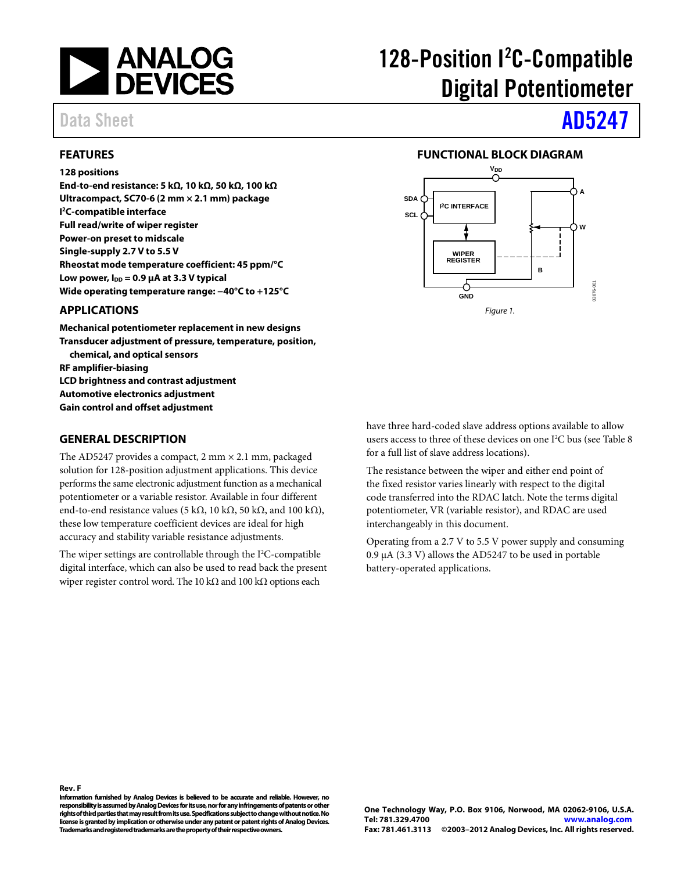

## <span id="page-0-0"></span>**FEATURES**

### **128 positions**

**End-to-end resistance: 5 kΩ, 10 kΩ, 50 kΩ, 100 kΩ Ultracompact, SC70-6 (2 mm × 2.1 mm) package I 2C-compatible interface Full read/write of wiper register Power-on preset to midscale Single-supply 2.7 V to 5.5 V Rheostat mode temperature coefficient: 45 ppm/°C** Low power,  $I_{DD} = 0.9$   $\mu$ A at 3.3 V typical **Wide operating temperature range: −40°C to +125°C**

### <span id="page-0-1"></span>**APPLICATIONS**

**Mechanical potentiometer replacement in new designs Transducer adjustment of pressure, temperature, position, chemical, and optical sensors RF amplifier-biasing LCD brightness and contrast adjustment Automotive electronics adjustment Gain control and offset adjustment**

### <span id="page-0-3"></span>**GENERAL DESCRIPTION**

The AD5247 provides a compact,  $2 \text{ mm} \times 2.1 \text{ mm}$ , packaged solution for 128-position adjustment applications. This device performs the same electronic adjustment function as a mechanical potentiometer or a variable resistor. Available in four different end-to-end resistance values (5 k $\Omega$ , 10 k $\Omega$ , 50 k $\Omega$ , and 100 k $\Omega$ ), these low temperature coefficient devices are ideal for high accuracy and stability variable resistance adjustments.

The wiper settings are controllable through the  $I<sup>2</sup>C$ -compatible digital interface, which can also be used to read back the present wiper register control word. The 10 kΩ and 100 kΩ options each

# 128-Position I<sup>2</sup>C-Compatible Digital Potentiometer

# Data Sheet **[AD5247](http://www.analog.com/AD5247)**

### **FUNCTIONAL BLOCK DIAGRAM**

<span id="page-0-2"></span>

have three hard-coded slave address options available to allow users access to three of these devices on one  $I^2C$  bus (see [Table 8](#page-12-0) for a full list of slave address locations).

The resistance between the wiper and either end point of the fixed resistor varies linearly with respect to the digital code transferred into the RDAC latch. Note the terms digital potentiometer, VR (variable resistor), and RDAC are used interchangeably in this document.

Operating from a 2.7 V to 5.5 V power supply and consuming 0.9  $\mu$ A (3.3 V) allows the AD5247 to be used in portable battery-operated applications.

**Information furnished by Analog Devices is believed to be accurate and reliable. However, no responsibility is assumed by Analog Devices for its use, nor for any infringements of patents or other rights of third parties that may result from its use. Specifications subject to change without notice. No license is granted by implication or otherwise under any patent or patent rights of Analog Devices. Trademarks and registered trademarks are the property of their respective owners.**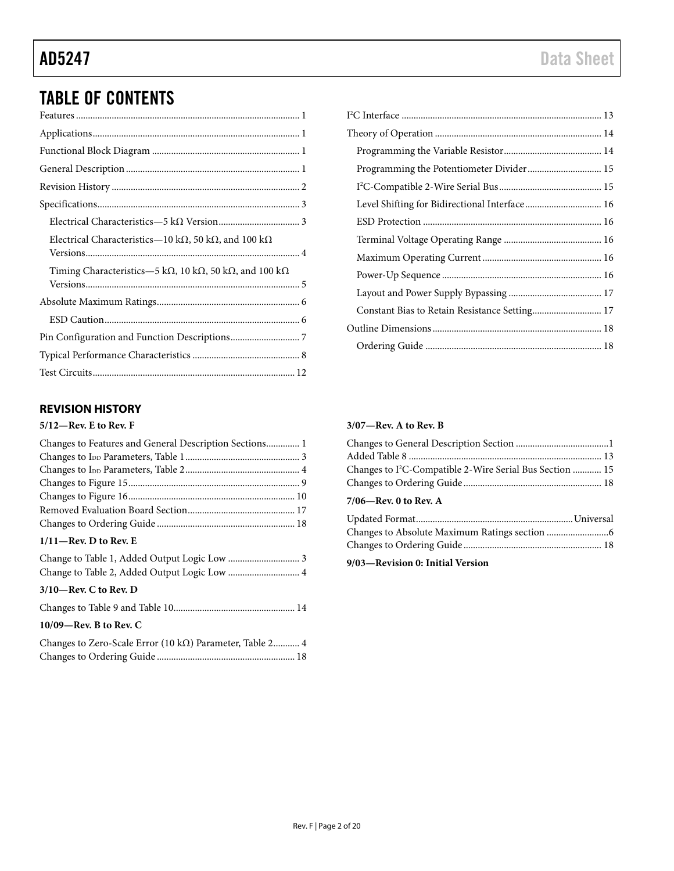# TABLE OF CONTENTS

| Electrical Characteristics—10 kΩ, 50 kΩ, and 100 kΩ                                      |  |
|------------------------------------------------------------------------------------------|--|
| Timing Characteristics—5 k $\Omega$ , 10 k $\Omega$ , 50 k $\Omega$ , and 100 k $\Omega$ |  |
|                                                                                          |  |
|                                                                                          |  |
|                                                                                          |  |
|                                                                                          |  |
|                                                                                          |  |

## **REVISION HISTORY**

## **5/12—Rev. E to Rev. F**

| $1/11$ —Rev. D to Rev. E |  |
|--------------------------|--|
|                          |  |
|                          |  |

### **3/10—Rev. C to Rev. D**

| $10/09$ —Rev. B to Rev. C                                |  |
|----------------------------------------------------------|--|
| Changes to Zero-Scale Error (10 kΩ) Parameter, Table 2 4 |  |

Changes to Ordering Guide .......................................................... 18

## **3/07—Rev. A to Rev. B**

| Changes to I <sup>2</sup> C-Compatible 2-Wire Serial Bus Section  15 |  |
|----------------------------------------------------------------------|--|
|                                                                      |  |
| $7/06$ —Rev. 0 to Rev. A                                             |  |
|                                                                      |  |
|                                                                      |  |

## Changes to Ordering Guide .......................................................... 18

**9/03—Revision 0: Initial Version**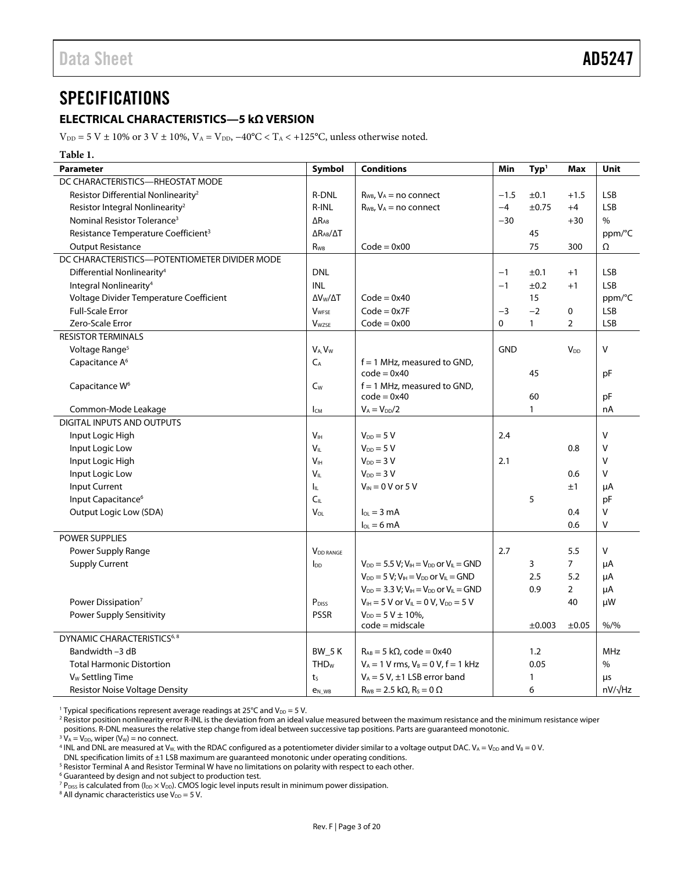## <span id="page-2-2"></span><span id="page-2-1"></span>**SPECIFICATIONS**

## <span id="page-2-0"></span>**ELECTRICAL CHARACTERISTICS—5 kΩ VERSION**

 $V_{DD} = 5 V \pm 10\%$  or 3 V  $\pm$  10%,  $V_A = V_{DD}$ ,  $-40\degree C < T_A < +125\degree C$ , unless otherwise noted.

### **Table 1.**

| <b>Parameter</b>                                | Symbol                               | <b>Conditions</b>                                                     | Min        | Typ <sup>1</sup> | Max                    | Unit       |
|-------------------------------------------------|--------------------------------------|-----------------------------------------------------------------------|------------|------------------|------------------------|------------|
| DC CHARACTERISTICS-RHEOSTAT MODE                |                                      |                                                                       |            |                  |                        |            |
| Resistor Differential Nonlinearity <sup>2</sup> | <b>R-DNL</b>                         | $R_{WB}$ , $V_A$ = no connect                                         | $-1.5$     | ±0.1             | $+1.5$                 | <b>LSB</b> |
| Resistor Integral Nonlinearity <sup>2</sup>     | R-INL                                | $R_{WB}$ , $V_A$ = no connect                                         | $-4$       | $\pm 0.75$       | $+4$                   | <b>LSB</b> |
| Nominal Resistor Tolerance <sup>3</sup>         | $\Delta$ R <sub>AB</sub>             |                                                                       | $-30$      |                  | $+30$                  | $\%$       |
| Resistance Temperature Coefficient <sup>3</sup> | $\Delta$ RAB/ $\Delta$ T             |                                                                       |            | 45               |                        | ppm/°C     |
| <b>Output Resistance</b>                        | <b>R</b> w <sub>B</sub>              | $Code = 0x00$                                                         |            | 75               | 300                    | Ω          |
| DC CHARACTERISTICS-POTENTIOMETER DIVIDER MODE   |                                      |                                                                       |            |                  |                        |            |
| Differential Nonlinearity <sup>4</sup>          | <b>DNL</b>                           |                                                                       | $-1$       | ±0.1             | $+1$                   | <b>LSB</b> |
| Integral Nonlinearity <sup>4</sup>              | <b>INL</b>                           |                                                                       | $-1$       | ±0.2             | $+1$                   | <b>LSB</b> |
| Voltage Divider Temperature Coefficient         | $\Delta V_{\rm W}/\Delta T$          | $Code = 0x40$                                                         |            | 15               |                        | ppm/°C     |
| <b>Full-Scale Error</b>                         | VWFSE                                | $Code = 0x7F$                                                         | $-3$       | $-2$             | 0                      | <b>LSB</b> |
| Zero-Scale Error                                | <b>V</b> wzse                        | $Code = 0x00$                                                         | $\Omega$   | $\mathbf{1}$     | $\overline{2}$         | <b>LSB</b> |
| <b>RESISTOR TERMINALS</b>                       |                                      |                                                                       |            |                  |                        |            |
| Voltage Range <sup>5</sup>                      | $V_A, V_W$                           |                                                                       | <b>GND</b> |                  | <b>V</b> <sub>DD</sub> | V          |
| Capacitance A <sup>6</sup>                      | $C_A$                                | $f = 1$ MHz, measured to GND,                                         |            |                  |                        |            |
|                                                 |                                      | $code = 0x40$                                                         |            | 45               |                        | рF         |
| Capacitance W <sup>6</sup>                      | $C_W$                                | $f = 1$ MHz, measured to GND,                                         |            |                  |                        |            |
|                                                 |                                      | $code = 0x40$                                                         |            | 60               |                        | pF         |
| Common-Mode Leakage                             | Iсм                                  | $V_A = V_{DD}/2$                                                      |            | $\mathbf{1}$     |                        | nA         |
| <b>DIGITAL INPUTS AND OUTPUTS</b>               |                                      |                                                                       |            |                  |                        |            |
| Input Logic High                                | V <sub>IH</sub>                      | $V_{DD} = 5 V$                                                        | 2.4        |                  |                        | $\vee$     |
| Input Logic Low                                 | $V_{IL}$                             | $V_{DD} = 5 V$                                                        |            |                  | 0.8                    | $\vee$     |
| Input Logic High                                | V <sub>IH</sub>                      | $V_{DD} = 3 V$                                                        | 2.1        |                  |                        | $\vee$     |
| Input Logic Low                                 | $V_{IL}$                             | $V_{DD} = 3 V$                                                        |            |                  | 0.6                    | V          |
| <b>Input Current</b>                            | h.                                   | $V_{IN}$ = 0 V or 5 V                                                 |            |                  | ±1                     | μA         |
| Input Capacitance <sup>6</sup>                  | $C_{IL}$                             |                                                                       |            | 5                |                        | pF         |
| <b>Output Logic Low (SDA)</b>                   | $V_{OL}$                             | $I_{\text{ol}} = 3 \text{ mA}$                                        |            |                  | 0.4                    | $\vee$     |
|                                                 |                                      | $I_{OL} = 6 \text{ mA}$                                               |            |                  | 0.6                    | V          |
| <b>POWER SUPPLIES</b>                           |                                      |                                                                       |            |                  |                        |            |
| Power Supply Range                              | $V_{\textrm{DD RANGE}}$              |                                                                       | 2.7        |                  | 5.5                    | V          |
| <b>Supply Current</b>                           | $I_{DD}$                             | $V_{DD} = 5.5 V; V_{IH} = V_{DD}$ or $V_{II} = GND$                   |            | 3                | $\overline{7}$         | μA         |
|                                                 |                                      | $V_{DD} = 5 V$ ; $V_{IH} = V_{DD}$ or $V_{IL} = GND$                  |            | 2.5              | 5.2                    | μA         |
|                                                 |                                      | $V_{DD} = 3.3 V; V_{IH} = V_{DD}$ or $V_{II} = GND$                   |            | 0.9              | $\overline{2}$         | μA         |
| Power Dissipation <sup>7</sup>                  | $\mathsf{P}_\mathsf{DISS}$           | $V_{\text{H}} = 5 V$ or $V_{\text{II}} = 0 V$ , $V_{\text{DD}} = 5 V$ |            |                  | 40                     | μW         |
| Power Supply Sensitivity                        | <b>PSSR</b>                          | $V_{DD} = 5 V \pm 10\%$ ,                                             |            |                  |                        |            |
|                                                 |                                      | $code = midscale$                                                     |            | ±0.003           | $\pm 0.05$             | $% /$ %    |
| DYNAMIC CHARACTERISTICS <sup>6, 8</sup>         |                                      |                                                                       |            |                  |                        |            |
| Bandwidth -3 dB                                 | <b>BW_5K</b>                         | $R_{AB} = 5 k\Omega$ , code = 0x40                                    |            | 1.2              |                        | MHz        |
| <b>Total Harmonic Distortion</b>                | <b>THD<sub>w</sub></b>               | $V_A = 1 V$ rms, $V_B = 0 V$ , $f = 1 kHz$                            |            | 0.05             |                        | $\%$       |
| V <sub>w</sub> Settling Time                    | ts                                   | $V_A = 5 V$ , ±1 LSB error band                                       |            | $\mathbf{1}$     |                        | μs         |
| <b>Resistor Noise Voltage Density</b>           | <b>e</b> <sub>N</sub> w <sub>B</sub> | $R_{WB} = 2.5 k\Omega$ , $R_s = 0 \Omega$                             |            | 6                |                        | nV/√Hz     |

 $^1$  Typical specifications represent average readings at 25°C and V $_{\text{DD}}$  = 5 V.<br>2 Resistor position poplinearity error R-INL is the deviation from an ideal v

<sup>2</sup> Resistor position nonlinearity error R-INL is the deviation from an ideal value measured between the maximum resistance and the minimum resistance wiper positions. R-DNL measures the relative step change from ideal between successive tap positions. Parts are guaranteed monotonic.

 $3 V_A = V_{DD}$ , wiper (V<sub>W</sub>) = no connect.<br><sup>4</sup> INL and DNL are measured at V<sub>W</sub> W <sup>4</sup> INL and DNL are measured at V<sub>W</sub>, with the RDAC configured as a potentiometer divider similar to a voltage output DAC. V<sub>A</sub> = V<sub>DD</sub> and V<sub>B</sub> = 0 V.

DNL specification limits of  $\pm$ 1 LSB maximum are guaranteed monotonic under operating conditions.

<sup>5</sup> Resistor Terminal A and Resistor Terminal W have no limitations on polarity with respect to each other.

<sup>6</sup> Guaranteed by design and not subject to production test.

<sup>7</sup> P<sub>DISS</sub> is calculated from (I<sub>DD</sub> × V<sub>DD</sub>). CMOS logic level inputs result in minimum power dissipation.<br><sup>8</sup> All dynamic characteristics use V<sub>DR</sub> = 5 V

 $8$  All dynamic characteristics use  $V_{DD} = 5$  V.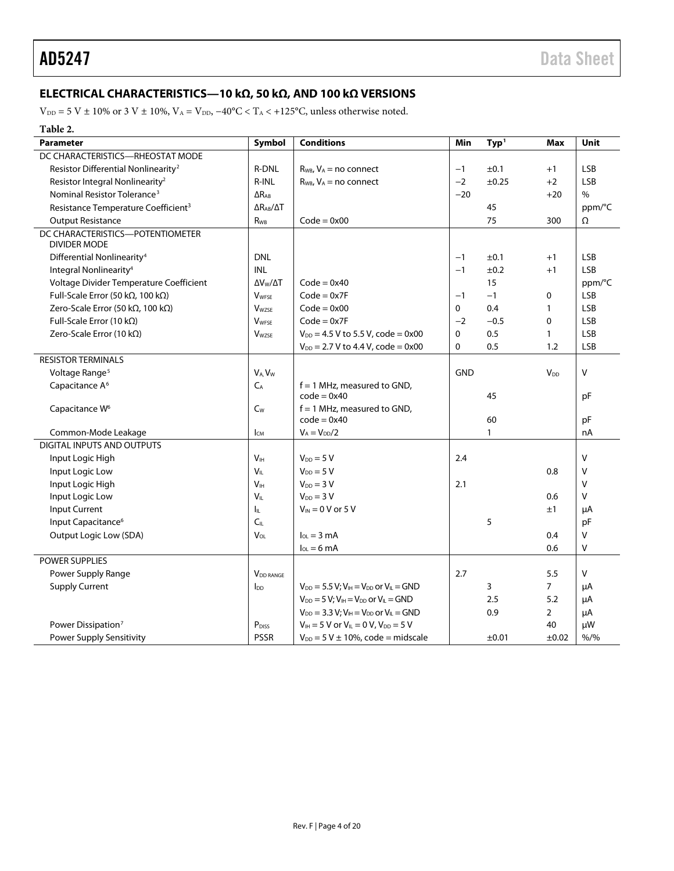## <span id="page-3-0"></span>**ELECTRICAL CHARACTERISTICS—10 kΩ, 50 kΩ, AND 100 kΩ VERSIONS**

V<sub>DD</sub> = 5 V ± 10% or 3 V ± 10%, V<sub>A</sub> = V<sub>DD</sub>, -40°C < T<sub>A</sub> < +125°C, unless otherwise noted.

## **Table 2.**

| <b>Parameter</b>                                        | Symbol                          | <b>Conditions</b>                                                          | Min        | Typ <sup>1</sup> | Max                   | Unit       |
|---------------------------------------------------------|---------------------------------|----------------------------------------------------------------------------|------------|------------------|-----------------------|------------|
| DC CHARACTERISTICS-RHEOSTAT MODE                        |                                 |                                                                            |            |                  |                       |            |
| Resistor Differential Nonlinearity <sup>2</sup>         | <b>R-DNL</b>                    | $R_{WB}$ , $V_A$ = no connect                                              | $-1$       | ±0.1             | $+1$                  | <b>LSB</b> |
| Resistor Integral Nonlinearity <sup>2</sup>             | R-INL                           | $R_{WB}$ , $V_A$ = no connect                                              | $-2$       | $\pm 0.25$       | $+2$                  | <b>LSB</b> |
| Nominal Resistor Tolerance <sup>3</sup>                 | $\Delta R_{AB}$                 |                                                                            | $-20$      |                  | $+20$                 | $\%$       |
| Resistance Temperature Coefficient <sup>3</sup>         | $\Delta R_{AB}/\Delta T$        |                                                                            |            | 45               |                       | ppm/°C     |
| <b>Output Resistance</b>                                | R <sub>WB</sub>                 | $Code = 0x00$                                                              |            | 75               | 300                   | Ω          |
| DC CHARACTERISTICS-POTENTIOMETER<br><b>DIVIDER MODE</b> |                                 |                                                                            |            |                  |                       |            |
| Differential Nonlinearity <sup>4</sup>                  | <b>DNL</b>                      |                                                                            | $-1$       | ±0.1             | $+1$                  | <b>LSB</b> |
| Integral Nonlinearity <sup>4</sup>                      | <b>INL</b>                      |                                                                            | $-1$       | ±0.2             | $+1$                  | <b>LSB</b> |
| Voltage Divider Temperature Coefficient                 | $\Delta V_{\rm W}/\Delta T$     | $Code = 0x40$                                                              |            | 15               |                       | ppm/°C     |
| Full-Scale Error (50 k $\Omega$ , 100 k $\Omega$ )      | <b>V</b> <sub>WFSE</sub>        | $Code = 0x7F$                                                              | $-1$       | $-1$             | $\mathbf 0$           | <b>LSB</b> |
| Zero-Scale Error (50 k $\Omega$ , 100 k $\Omega$ )      | <b>VWZSF</b>                    | $Code = 0x00$                                                              | 0          | 0.4              | $\mathbf{1}$          | <b>LSB</b> |
| Full-Scale Error (10 k $\Omega$ )                       | <b>V</b> <sub>WFSE</sub>        | $Code = 0x7F$                                                              | $-2$       | $-0.5$           | $\mathbf 0$           | LSB        |
| Zero-Scale Error (10 kΩ)                                | <b>V</b> wzse                   | $V_{DD} = 4.5 V$ to 5.5 V, code = 0x00                                     | 0          | 0.5              | $\mathbf{1}$          | LSB        |
|                                                         |                                 | $V_{DD} = 2.7 V$ to 4.4 V, code = 0x00                                     | 0          | 0.5              | 1.2                   | <b>LSB</b> |
| <b>RESISTOR TERMINALS</b>                               |                                 |                                                                            |            |                  |                       |            |
| Voltage Range <sup>5</sup>                              | V <sub>A</sub> , V <sub>w</sub> |                                                                            | <b>GND</b> |                  | <b>V<sub>DD</sub></b> | $\vee$     |
| Capacitance A <sup>6</sup>                              | $C_A$                           | $f = 1$ MHz, measured to GND,                                              |            |                  |                       |            |
|                                                         |                                 | $code = 0x40$                                                              |            | 45               |                       | pF         |
| Capacitance W <sup>6</sup>                              | $C_W$                           | $f = 1$ MHz, measured to GND,                                              |            |                  |                       |            |
|                                                         |                                 | $code = 0x40$                                                              |            | 60               |                       | pF         |
| Common-Mode Leakage                                     | $\mathsf{I}_{\mathsf{CM}}$      | $V_A = V_{DD}/2$                                                           |            | 1                |                       | nA         |
| DIGITAL INPUTS AND OUTPUTS                              |                                 |                                                                            |            |                  |                       |            |
| Input Logic High                                        | V <sub>IH</sub>                 | $V_{DD} = 5 V$                                                             | 2.4        |                  |                       | $\vee$     |
| Input Logic Low                                         | $V_{IL}$                        | $V_{DD} = 5 V$                                                             |            |                  | 0.8                   | V          |
| Input Logic High                                        | V <sub>IH</sub>                 | $V_{DD} = 3 V$                                                             | 2.1        |                  |                       | $\vee$     |
| Input Logic Low                                         | $V_{IL}$                        | $V_{DD} = 3 V$                                                             |            |                  | 0.6                   | V          |
| Input Current                                           | $\mathsf{I}_{\mathsf{IL}}$      | $V_{IN} = 0 V$ or 5 V                                                      |            |                  | ±1                    | μA         |
| Input Capacitance <sup>6</sup>                          | $C_{II}$                        |                                                                            |            | 5                |                       | pF         |
| Output Logic Low (SDA)                                  | $V_{OI}$                        | $I_{01} = 3$ mA                                                            |            |                  | 0.4                   | V          |
|                                                         |                                 | $I_{OL} = 6 \text{ mA}$                                                    |            |                  | 0.6                   | V          |
| POWER SUPPLIES                                          |                                 |                                                                            |            |                  |                       |            |
| Power Supply Range                                      | <b>V</b> <sub>DD</sub> RANGE    |                                                                            | 2.7        |                  | 5.5                   | V          |
| <b>Supply Current</b>                                   | $I_{DD}$                        | $V_{DD} = 5.5 V$ ; $V_{IH} = V_{DD}$ or $V_{IL} = GND$                     |            | 3                | $\overline{7}$        | μA         |
|                                                         |                                 | $V_{DD} = 5 V$ ; $V_{IH} = V_{DD}$ or $V_{IL} = GND$                       |            | 2.5              | 5.2                   | μA         |
|                                                         |                                 | $V_{DD} = 3.3 V; V_{IH} = V_{DD}$ or $V_{IL} = GND$                        |            | 0.9              | $\overline{2}$        | μA         |
| Power Dissipation <sup>7</sup>                          | P <sub>DISS</sub>               | $V_{\text{IH}} = 5 V \text{ or } V_{\text{IL}} = 0 V, V_{\text{DD}} = 5 V$ |            |                  | 40                    | μW         |
| <b>Power Supply Sensitivity</b>                         | <b>PSSR</b>                     | $V_{DD} = 5 V \pm 10\%$ , code = midscale                                  |            | $\pm 0.01$       | $\pm 0.02$            | $% /$ %    |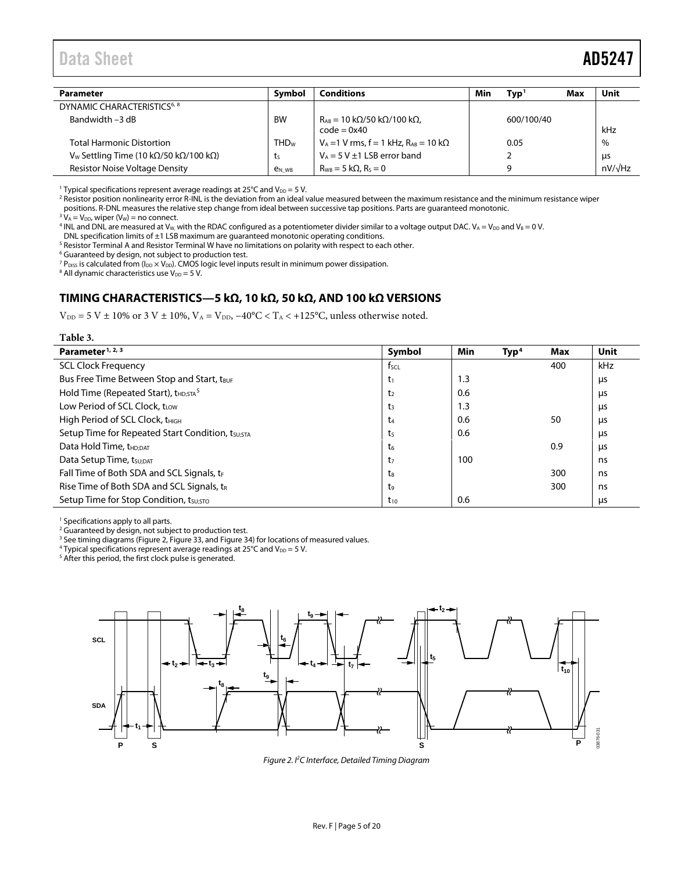## <span id="page-4-1"></span>Data Sheet **AD5247**

| Parameter                               | Symbol                 | <b>Conditions</b>                                                          | Min | Typ <sup>1</sup> | Max | Unit   |
|-----------------------------------------|------------------------|----------------------------------------------------------------------------|-----|------------------|-----|--------|
| DYNAMIC CHARACTERISTICS <sup>6, 8</sup> |                        |                                                                            |     |                  |     |        |
| Bandwidth -3 dB                         | BW                     | $R_{AB}$ = 10 k $\Omega$ /50 k $\Omega$ /100 k $\Omega$ ,<br>$code = 0x40$ |     | 600/100/40       |     | kHz    |
| <b>Total Harmonic Distortion</b>        | <b>THD<sub>w</sub></b> | $V_A$ = 1 V rms, f = 1 kHz, R <sub>AB</sub> = 10 kΩ                        |     | 0.05             |     | $\%$   |
| $Vw$ Settling Time (10 kΩ/50 kΩ/100 kΩ) | ts                     | $V_A = 5 V \pm 1$ LSB error band                                           |     |                  |     | μs     |
| <b>Resistor Noise Voltage Density</b>   | $eN$ w <sub>B</sub>    | $R_{WB} = 5 k\Omega$ , $R_S = 0$                                           |     |                  |     | nV/√Hz |

<sup>1</sup> Typical specifications represent average readings at 25<sup>°</sup>C and  $V_{DD} = 5$  V.

<sup>2</sup> Resistor position nonlinearity error R-INL is the deviation from an ideal value measured between the maximum resistance and the minimum resistance wiper

positions. R-DNL measures the relative step change from ideal between successive tap positions. Parts are guaranteed monotonic.

 $3 \text{ V}_A = \text{V}_{DD}$ , wiper (V<sub>W</sub>) = no connect.

<sup>4</sup> INL and DNL are measured at V<sub>W</sub>, with the RDAC configured as a potentiometer divider similar to a voltage output DAC. V<sub>A</sub> = V<sub>DD</sub> and V<sub>B</sub> = 0 V.

DNL specification limits of ±1 LSB maximum are guaranteed monotonic operating conditions.

<sup>5</sup> Resistor Terminal A and Resistor Terminal W have no limitations on polarity with respect to each other.

<sup>6</sup> Guaranteed by design, not subject to production test.

<sup>7</sup> P<sub>DISS</sub> is calculated from ( $I_{DD}$  × V<sub>DD</sub>). CMOS logic level inputs result in minimum power dissipation.

<sup>8</sup> All dynamic characteristics use  $V_{DD} = 5$  V.

## <span id="page-4-0"></span>**TIMING CHARACTERISTICS—5 kΩ, 10 kΩ, 50 kΩ, AND 100 kΩ VERSIONS**

 $V_{DD} = 5 V \pm 10\%$  or 3 V  $\pm 10\%$ ,  $V_A = V_{DD}$ ,  $-40\degree C < T_A < +125\degree C$ , unless otherwise noted.

### **Table 3.**

| Parameter <sup>1, 2, 3</sup>                                 | Symbol           | Min | Typ <sup>4</sup> | Max | <b>Unit</b> |
|--------------------------------------------------------------|------------------|-----|------------------|-----|-------------|
| <b>SCL Clock Frequency</b>                                   | $f_{\text{SCL}}$ |     |                  | 400 | kHz         |
| Bus Free Time Between Stop and Start, t <sub>BUF</sub>       | $t_1$            | 1.3 |                  |     | μs          |
| Hold Time (Repeated Start), t <sub>HD;STA</sub> <sup>5</sup> | t <sub>2</sub>   | 0.6 |                  |     | μs          |
| Low Period of SCL Clock, t <sub>LOW</sub>                    | $t_3$            | 1.3 |                  |     | μs          |
| High Period of SCL Clock, t <sub>HIGH</sub>                  | $t_4$            | 0.6 |                  | 50  | μs          |
| Setup Time for Repeated Start Condition, tsu;STA             | t <sub>5</sub>   | 0.6 |                  |     | μs          |
| Data Hold Time, t <sub>HD:DAT</sub>                          | $t_{6}$          |     |                  | 0.9 | μs          |
| Data Setup Time, tsu; DAT                                    | t7               | 100 |                  |     | ns          |
| Fall Time of Both SDA and SCL Signals, tr                    | ts               |     |                  | 300 | ns          |
| Rise Time of Both SDA and SCL Signals, t <sub>R</sub>        | t,               |     |                  | 300 | ns          |
| Setup Time for Stop Condition, tsu;sto                       | $t_{10}$         | 0.6 |                  |     | μs          |

<sup>1</sup> Specifications apply to all parts.

<sup>2</sup> Guaranteed by design, not subject to production test.

<sup>3</sup> See timing diagrams [\(Figure 2,](#page-4-2) [Figure 33,](#page-12-2) an[d Figure 34\)](#page-12-3) for locations of measured values.

<sup>4</sup> Typical specifications represent average readings at 25<sup>°</sup>C and V<sub>DD</sub> = 5 V.

<sup>5</sup> After this period, the first clock pulse is generated.

<span id="page-4-2"></span>

*Figure 2. I2 C Interface, Detailed Timing Diagram*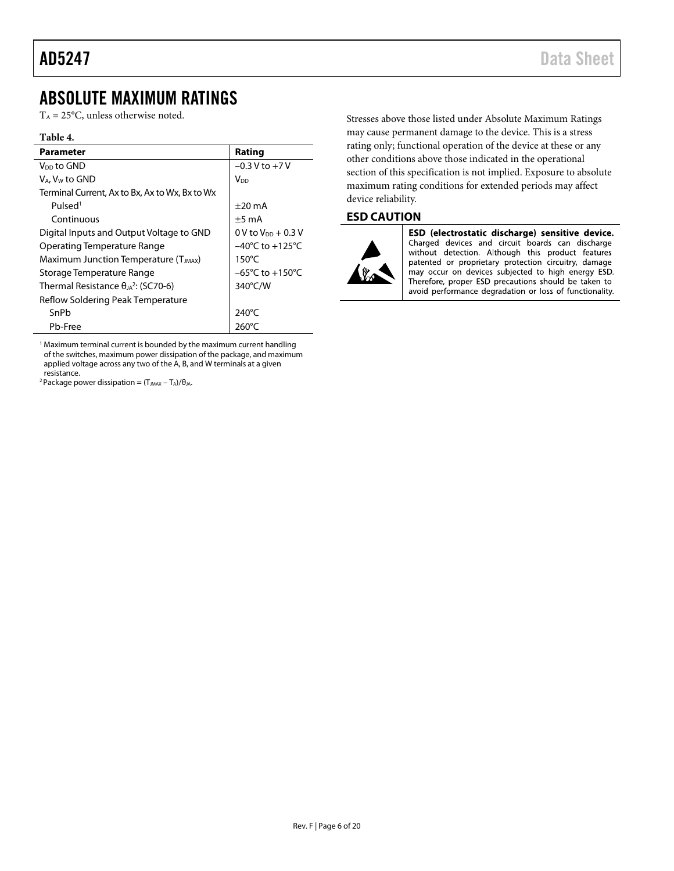# <span id="page-5-0"></span>ABSOLUTE MAXIMUM RATINGS

 $T_A = 25$ °C, unless otherwise noted.

### **Table 4.**

| <b>Parameter</b>                                  | Rating                              |
|---------------------------------------------------|-------------------------------------|
| V <sub>DD</sub> to GND                            | $-0.3$ V to $+7$ V                  |
| $V_A$ , $V_W$ to GND                              | Voo                                 |
| Terminal Current, Ax to Bx, Ax to Wx, Bx to Wx    |                                     |
| Pulsed <sup>1</sup>                               | $+20 \text{ mA}$                    |
| Continuous                                        | $±5$ mA                             |
| Digital Inputs and Output Voltage to GND          | 0 V to $V_{DD}$ + 0.3 V             |
| Operating Temperature Range                       | $-40^{\circ}$ C to $+125^{\circ}$ C |
| Maximum Junction Temperature (T <sub>JMAX</sub> ) | $150^{\circ}$ C                     |
| Storage Temperature Range                         | $-65^{\circ}$ C to $+150^{\circ}$ C |
| Thermal Resistance $\theta_{IA}^2$ : (SC70-6)     | 340°C/W                             |
| Reflow Soldering Peak Temperature                 |                                     |
| SnPb                                              | $240^{\circ}$ C                     |
| Pb-Free                                           | 260°C                               |

<sup>1</sup> Maximum terminal current is bounded by the maximum current handling of the switches, maximum power dissipation of the package, and maximum applied voltage across any two of the A, B, and W terminals at a given resistance.

<sup>2</sup> Package power dissipation =  $(T_{JMAX} - T_A)/\theta_{JA}$ .

Stresses above those listed under Absolute Maximum Ratings may cause permanent damage to the device. This is a stress rating only; functional operation of the device at these or any other conditions above those indicated in the operational section of this specification is not implied. Exposure to absolute maximum rating conditions for extended periods may affect device reliability.

## <span id="page-5-1"></span>**ESD CAUTION**



ESD (electrostatic discharge) sensitive device. Charged devices and circuit boards can discharge without detection. Although this product features patented or proprietary protection circuitry, damage may occur on devices subjected to high energy ESD. Therefore, proper ESD precautions should be taken to avoid performance degradation or loss of functionality.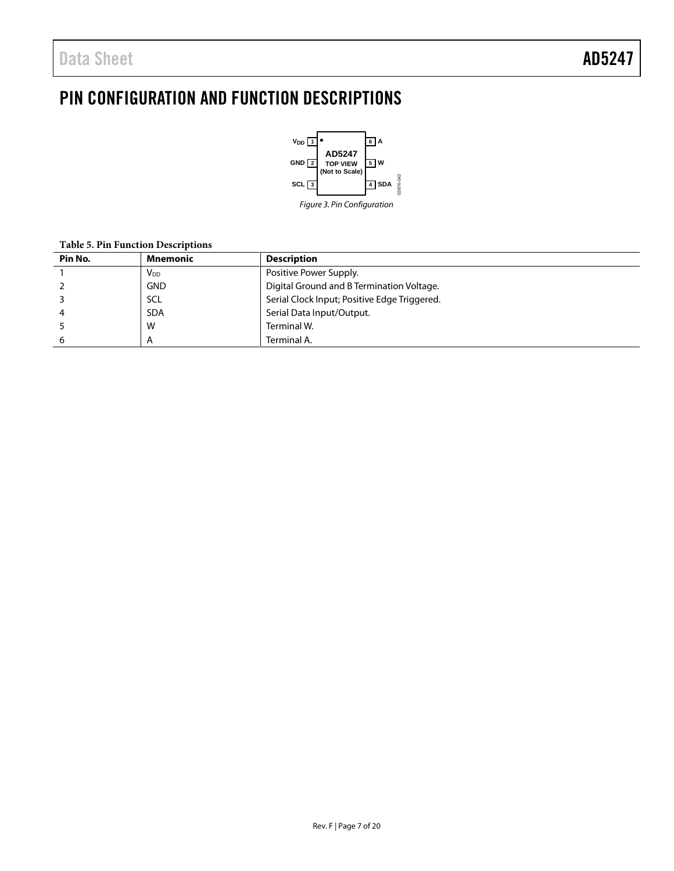# <span id="page-6-0"></span>PIN CONFIGURATION AND FUNCTION DESCRIPTIONS



### **Table 5. Pin Function Descriptions**

| Pin No. | <b>Mnemonic</b> | <b>Description</b>                           |
|---------|-----------------|----------------------------------------------|
|         | V <sub>DD</sub> | Positive Power Supply.                       |
|         | <b>GND</b>      | Digital Ground and B Termination Voltage.    |
|         | <b>SCL</b>      | Serial Clock Input; Positive Edge Triggered. |
|         | <b>SDA</b>      | Serial Data Input/Output.                    |
|         | W               | Terminal W.                                  |
| 6       | A               | Terminal A.                                  |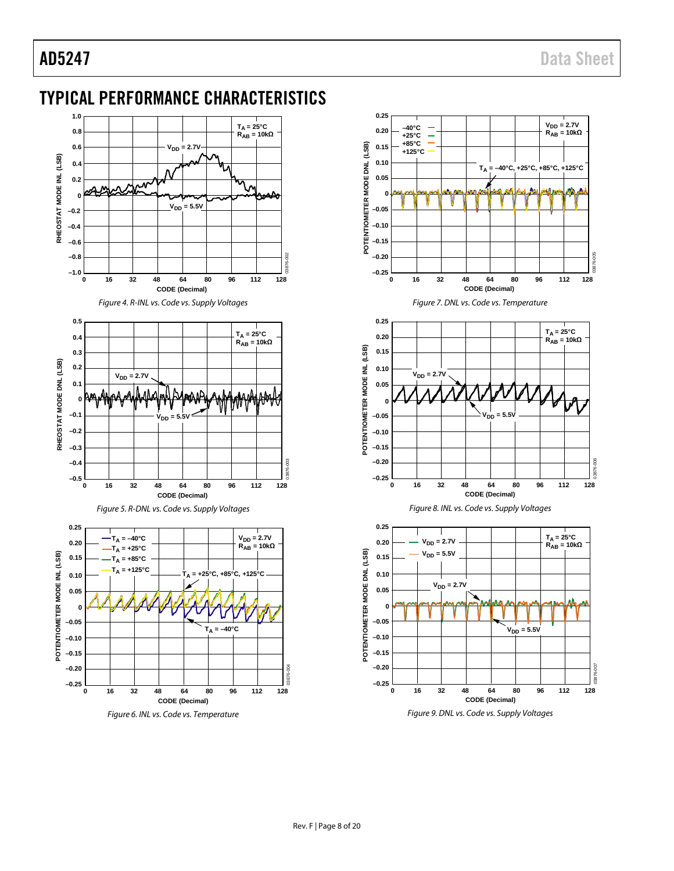# <span id="page-7-0"></span>TYPICAL PERFORMANCE CHARACTERISTICS



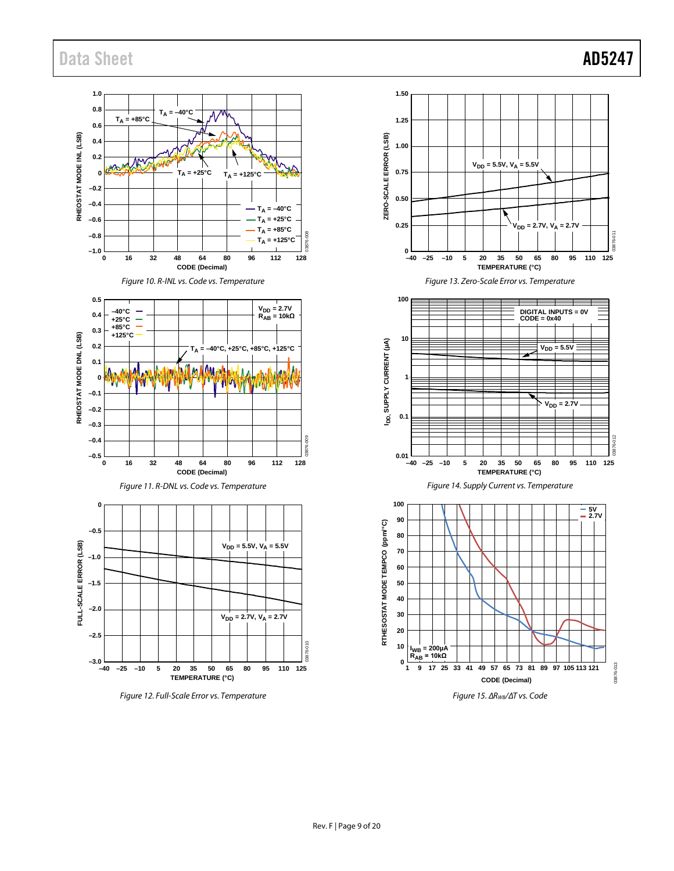# Data Sheet **AD5247**



*Figure 12. Full-Scale Error vs. Temperature*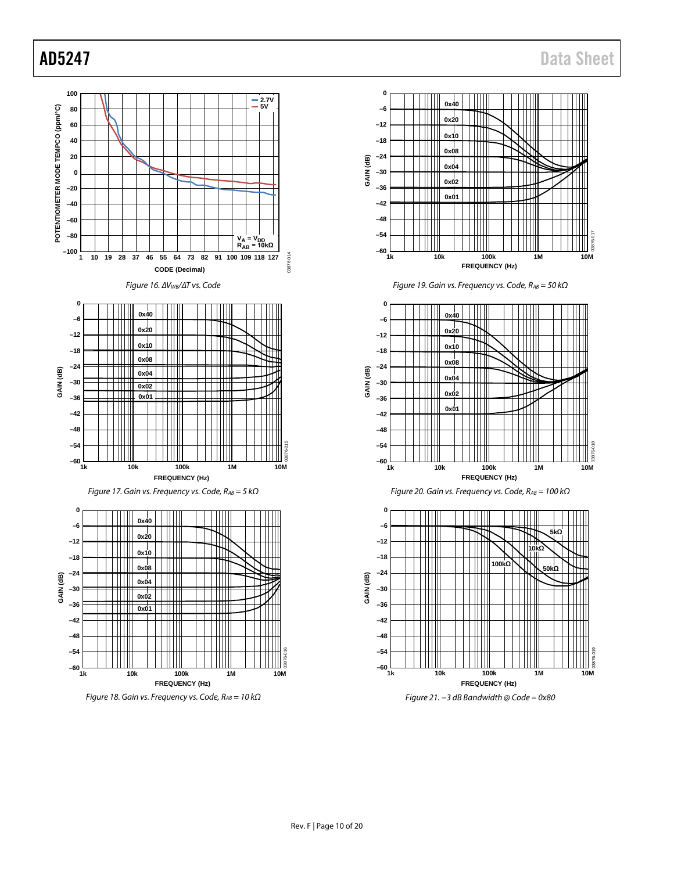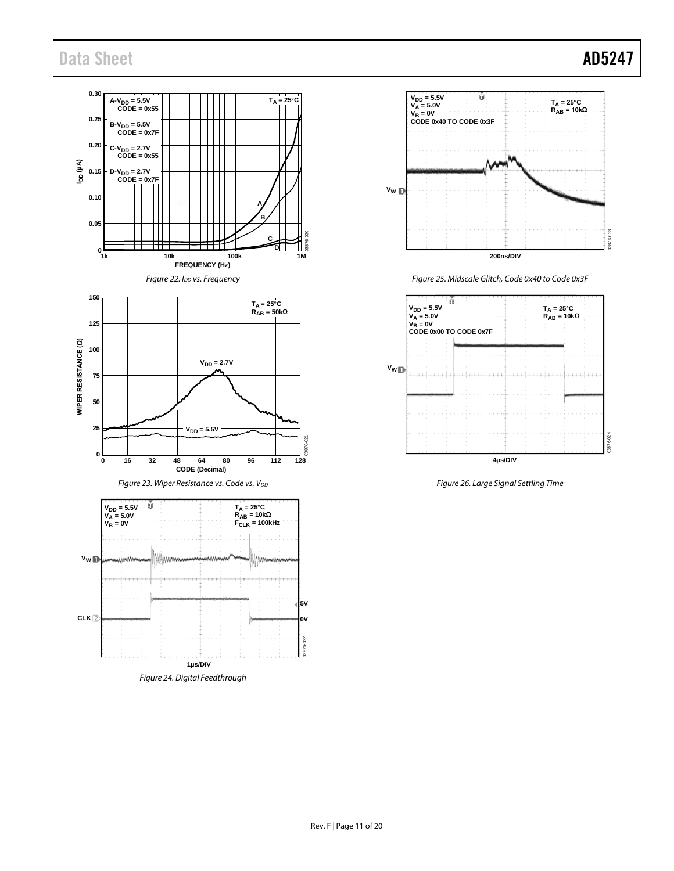# Data Sheet **AD5247**

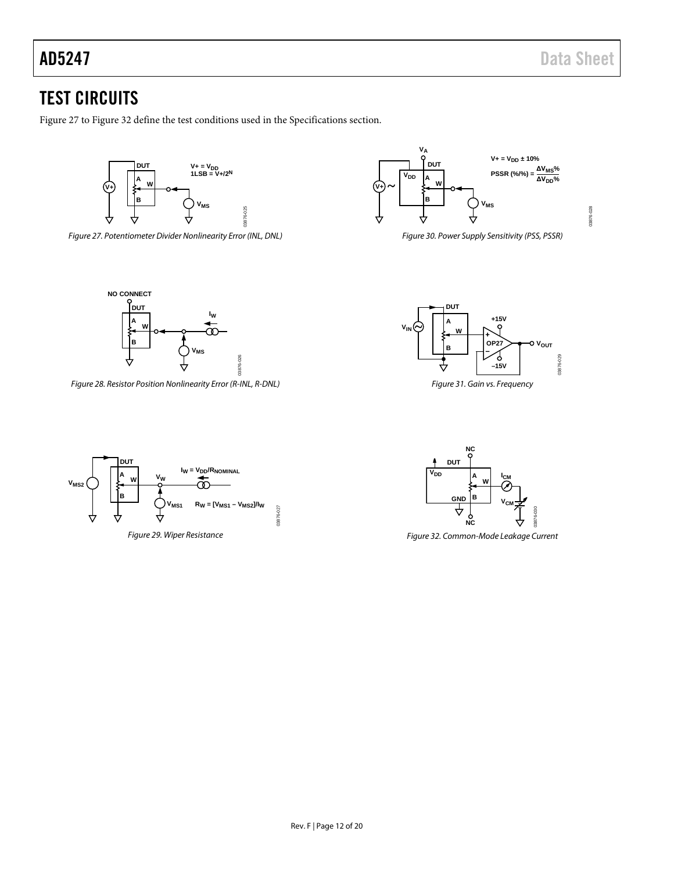03876-028

03876-028

# <span id="page-11-0"></span>TEST CIRCUITS

[Figure 27](#page-11-1) t[o Figure 32](#page-11-2) define the test conditions used in the [Specifications](#page-2-2) section.



<span id="page-11-1"></span>*Figure 27. Potentiometer Divider Nonlinearity Error (INL, DNL)*



*Figure 30. Power Supply Sensitivity (PSS, PSSR)*



*Figure 28. Resistor Position Nonlinearity Error (R-INL, R-DNL)*



*Figure 31. Gain vs. Frequency*





<span id="page-11-2"></span>*Figure 32. Common-Mode Leakage Current*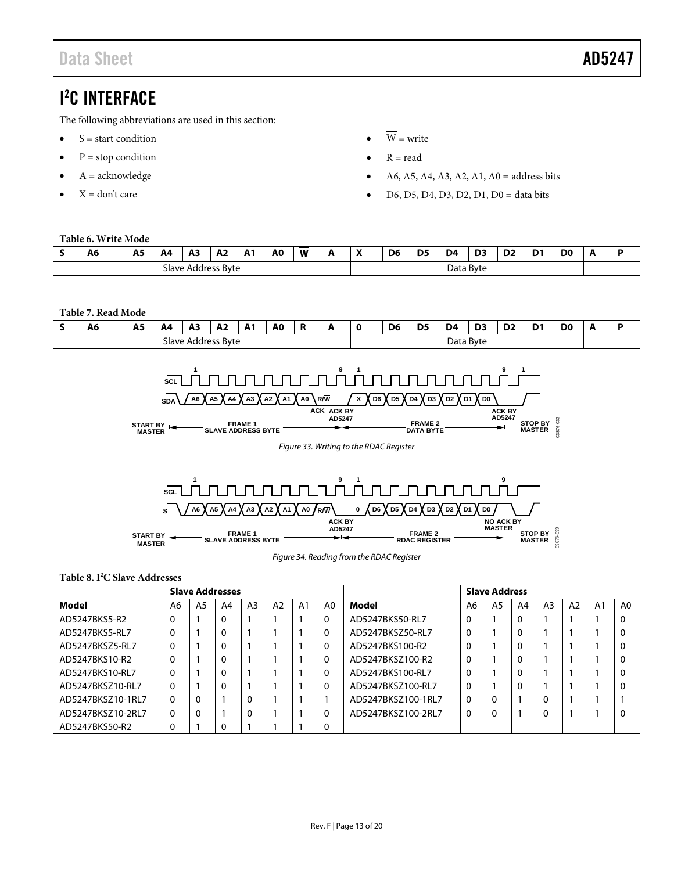# <span id="page-12-1"></span>I 2 C INTERFACE

The following abbreviations are used in this section:

- $\bullet$  S = start condition
- $P = stop condition$
- $A =$ acknowledge
- $X = don't care$
- $\overline{W}$  = write
- $R = read$
- A6, A5, A4, A3, A2, A1, A0 = address bits
- D6, D5, D4, D3, D2, D1, D0 = data bits

### **Table 6. Write Mode**

| . .<br>A6<br>$\sim$                        | A5<br>$\sim$ | -<br>A4 | $\sim$<br>А<br>г.<br><i>.</i> . | $\sim$<br>n. | <b>A1</b><br>. . | A <sub>0</sub> | $\overline{\phantom{a}}$<br>W |  | DΘ        | D5<br>-<br>__ | D <sub>4</sub><br>the contract of the contract of | D <sub>3</sub><br>$ -$ | $-$<br>∠ט<br>the contract of the contract of | D <sub>1</sub><br>the contract of the contract of | DC | A |  |
|--------------------------------------------|--------------|---------|---------------------------------|--------------|------------------|----------------|-------------------------------|--|-----------|---------------|---------------------------------------------------|------------------------|----------------------------------------------|---------------------------------------------------|----|---|--|
| Iress Kyte<br>aveد<br>AOL<br>'۱۲۳،<br>v LL |              |         |                                 |              |                  |                |                               |  | Data Byte | --            |                                                   |                        |                                              |                                                   |    |   |  |

### **Table 7. Read Mode**

| . .<br>A6             | <b>A5</b> | . .<br>A4 | $\mathbf{A}$<br><i>r</i> | ^<br>м. | Δ1<br><u>л</u> і | A <sub>0</sub> | ю<br>n |  | De | D5<br>. . | D <sub>4</sub> | D <sub>3</sub> | D <sub>2</sub> | $-$ | D0 | . . |  |
|-----------------------|-----------|-----------|--------------------------|---------|------------------|----------------|--------|--|----|-----------|----------------|----------------|----------------|-----|----|-----|--|
| Address Byte<br>-aveد |           |           |                          |         |                  |                |        |  |    | Data Byte |                |                |                |     |    |     |  |



### *Figure 33. Writing to the RDAC Register*

<span id="page-12-2"></span>

### *Figure 34. Reading from the RDAC Register*

### <span id="page-12-3"></span><span id="page-12-0"></span>**Table 8. I2 C Slave Addresses**

|                   | <b>Slave Addresses</b> |                |                |                |                |    |                |                    | <b>Slave Address</b> |                |             |                |                |    |    |
|-------------------|------------------------|----------------|----------------|----------------|----------------|----|----------------|--------------------|----------------------|----------------|-------------|----------------|----------------|----|----|
| Model             | A6                     | A <sub>5</sub> | A <sub>4</sub> | A <sub>3</sub> | A <sub>2</sub> | A1 | A <sub>0</sub> | Model              | A6                   | A <sub>5</sub> | A4          | A <sub>3</sub> | A <sub>2</sub> | A1 | A0 |
| AD5247BKS5-R2     | $\Omega$               |                | $\Omega$       |                |                |    | 0              | AD5247BKS50-RL7    | $\Omega$             |                | $\Omega$    |                |                |    |    |
| AD5247BKS5-RL7    | 0                      |                | $\Omega$       |                |                |    | 0              | AD5247BKSZ50-RL7   | $\Omega$             |                | $\Omega$    |                |                |    | 0  |
| AD5247BKSZ5-RL7   | 0                      |                | $\Omega$       |                |                |    | 0              | AD5247BKS100-R2    | $\Omega$             |                | $\Omega$    |                |                |    |    |
| AD5247BKS10-R2    | 0                      |                | $\Omega$       |                |                |    | 0              | AD5247BKSZ100-R2   | 0                    |                | $\mathbf 0$ |                |                |    |    |
| AD5247BKS10-RL7   | 0                      |                | 0              |                |                |    | 0              | AD5247BKS100-RL7   | 0                    |                | 0           |                |                |    |    |
| AD5247BKS710-RL7  | 0                      |                |                |                |                |    | $\Omega$       | AD5247BKSZ100-RL7  | $\Omega$             |                | $\Omega$    |                |                |    |    |
| AD5247BKSZ10-1RL7 | 0                      | $\Omega$       |                |                |                |    |                | AD5247BKSZ100-1RL7 | $\Omega$             | $\Omega$       |             | $\Omega$       |                |    |    |
| AD5247BKSZ10-2RL7 | 0                      | $\Omega$       |                |                |                |    | 0              | AD5247BKSZ100-2RL7 | $\Omega$             | $\Omega$       |             | $\Omega$       |                |    | 0  |
| AD5247BKS50-R2    | 0                      |                |                |                |                |    | 0              |                    |                      |                |             |                |                |    |    |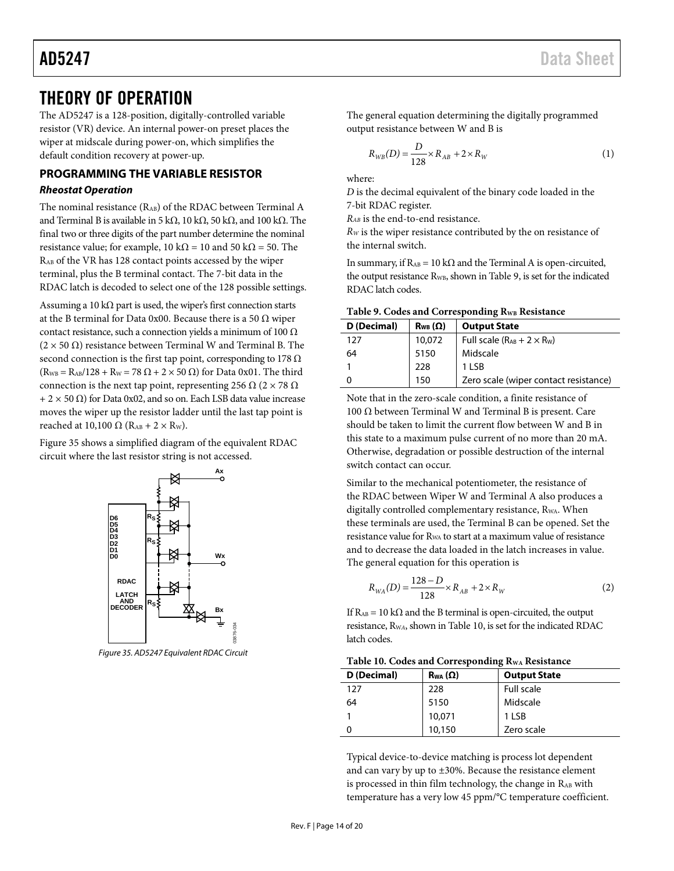# <span id="page-13-0"></span>THEORY OF OPERATION

The AD5247 is a 128-position, digitally-controlled variable resistor (VR) device. An internal power-on preset places the wiper at midscale during power-on, which simplifies the default condition recovery at power-up.

### <span id="page-13-1"></span>**PROGRAMMING THE VARIABLE RESISTOR**

### *Rheostat Operation*

The nominal resistance  $(R_{AB})$  of the RDAC between Terminal A and Terminal B is available in 5 kΩ, 10 kΩ, 50 kΩ, and 100 kΩ. The final two or three digits of the part number determine the nominal resistance value; for example, 10 k $\Omega$  = 10 and 50 k $\Omega$  = 50. The RAB of the VR has 128 contact points accessed by the wiper terminal, plus the B terminal contact. The 7-bit data in the RDAC latch is decoded to select one of the 128 possible settings.

Assuming a 10 k $\Omega$  part is used, the wiper's first connection starts at the B terminal for Data 0x00. Because there is a 50  $\Omega$  wiper contact resistance, such a connection yields a minimum of 100  $\Omega$  $(2 \times 50 \Omega)$  resistance between Terminal W and Terminal B. The second connection is the first tap point, corresponding to 178  $\Omega$  $(R_{WB} = R_{AB}/128 + R_W = 78 \Omega + 2 \times 50 \Omega)$  for Data 0x01. The third connection is the next tap point, representing 256  $\Omega$  (2 × 78  $\Omega$ )  $+ 2 \times 50 \Omega$ ) for Data 0x02, and so on. Each LSB data value increase moves the wiper up the resistor ladder until the last tap point is reached at 10,100  $\Omega$  (R<sub>AB</sub> + 2 × R<sub>W</sub>).

[Figure 35](#page-13-2) shows a simplified diagram of the equivalent RDAC circuit where the last resistor string is not accessed.



<span id="page-13-2"></span>*Figure 35. AD5247 Equivalent RDAC Circuit*

The general equation determining the digitally programmed output resistance between W and B is

$$
R_{WB}(D) = \frac{D}{128} \times R_{AB} + 2 \times R_{W}
$$
 (1)

where:

*D* is the decimal equivalent of the binary code loaded in the 7-bit RDAC register.

*RAB* is the end-to-end resistance.

*R<sub>W</sub>* is the wiper resistance contributed by the on resistance of the internal switch.

In summary, if  $R_{AB} = 10 \text{ k}\Omega$  and the Terminal A is open-circuited, the output resistance R<sub>WB</sub>, shown i[n Table 9,](#page-13-3) is set for the indicated RDAC latch codes.

<span id="page-13-3"></span>**Table 9. Codes and Corresponding RWB Resistance**

| D (Decimal) | $R_{WB}(\Omega)$ | <b>Output State</b>                   |
|-------------|------------------|---------------------------------------|
| 127         | 10,072           | Full scale $(R_{AB} + 2 \times R_W)$  |
| 64          | 5150             | Midscale                              |
|             | 228              | 1 LSB                                 |
| 0           | 150              | Zero scale (wiper contact resistance) |

Note that in the zero-scale condition, a finite resistance of 100  $Ω$  between Terminal W and Terminal B is present. Care should be taken to limit the current flow between W and B in this state to a maximum pulse current of no more than 20 mA. Otherwise, degradation or possible destruction of the internal switch contact can occur.

Similar to the mechanical potentiometer, the resistance of the RDAC between Wiper W and Terminal A also produces a digitally controlled complementary resistance, R<sub>WA</sub>. When these terminals are used, the Terminal B can be opened. Set the resistance value for RWA to start at a maximum value of resistance and to decrease the data loaded in the latch increases in value. The general equation for this operation is

$$
R_{WA}(D) = \frac{128 - D}{128} \times R_{AB} + 2 \times R_{W}
$$
 (2)

If  $R_{AB} = 10 \text{ k}\Omega$  and the B terminal is open-circuited, the output resistance, RW*A*, shown i[n Table 10,](#page-13-4) is set for the indicated RDAC latch codes.

<span id="page-13-4"></span>

| D (Decimal) | $R_{WA}(\Omega)$ | <b>Output State</b> |
|-------------|------------------|---------------------|
| 127         | 228              | Full scale          |
| 64          | 5150             | Midscale            |
|             | 10,071           | 1 LSB               |
|             | 10,150           | Zero scale          |

Typical device-to-device matching is process lot dependent and can vary by up to ±30%. Because the resistance element is processed in thin film technology, the change in RAB with temperature has a very low 45 ppm/°C temperature coefficient.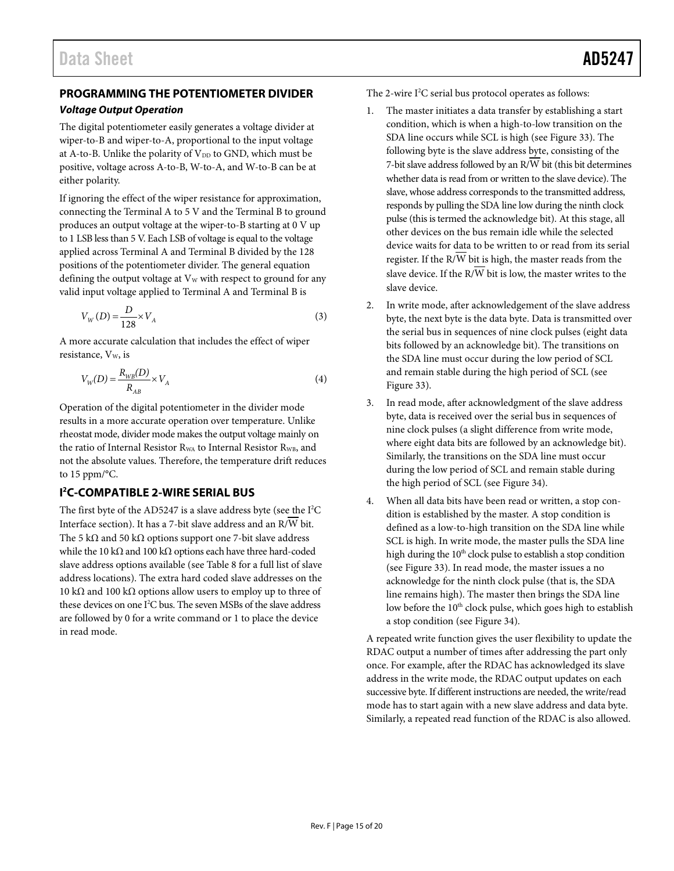### <span id="page-14-0"></span>*Voltage Output Operation*

The digital potentiometer easily generates a voltage divider at wiper-to-B and wiper-to-A, proportional to the input voltage at A-to-B. Unlike the polarity of  $V_{DD}$  to GND, which must be positive, voltage across A-to-B, W-to-A, and W-to-B can be at either polarity.

If ignoring the effect of the wiper resistance for approximation, connecting the Terminal A to 5 V and the Terminal B to ground produces an output voltage at the wiper-to-B starting at 0 V up to 1 LSB less than 5 V. Each LSB of voltage is equal to the voltage applied across Terminal A and Terminal B divided by the 128 positions of the potentiometer divider. The general equation defining the output voltage at  $V_W$  with respect to ground for any valid input voltage applied to Terminal A and Terminal B is

$$
V_W(D) = \frac{D}{128} \times V_A
$$
\n(3)

A more accurate calculation that includes the effect of wiper resistance, V<sub>w</sub>, is

$$
V_W(D) = \frac{R_{WB}(D)}{R_{AB}} \times V_A
$$
\n<sup>(4)</sup>

Operation of the digital potentiometer in the divider mode results in a more accurate operation over temperature. Unlike rheostat mode, divider mode makes the output voltage mainly on the ratio of Internal Resistor R<sub>WA</sub> to Internal Resistor R<sub>WB</sub>, and not the absolute values. Therefore, the temperature drift reduces to 15 ppm/°C.

## <span id="page-14-1"></span>**I 2 C-COMPATIBLE 2-WIRE SERIAL BUS**

The first byte of the AD5247 is a slave address byte (see the I 2 [C](#page-12-1)  [Interface](#page-12-1) section). It has a 7-bit slave address and an  $R/\overline{W}$  bit. The 5 k $\Omega$  and 50 k $\Omega$  options support one 7-bit slave address while the 10 kΩ and 100 kΩ options each have three hard-coded slave address options available (se[e Table 8](#page-12-0) for a full list of slave address locations). The extra hard coded slave addresses on the 10 kΩ and 100 kΩ options allow users to employ up to three of these devices on one I<sup>2</sup>C bus. The seven MSBs of the slave address are followed by 0 for a write command or 1 to place the device in read mode.

The 2-wire I<sup>2</sup>C serial bus protocol operates as follows:

- 1. The master initiates a data transfer by establishing a start condition, which is when a high-to-low transition on the SDA line occurs while SCL is high (see [Figure 33\)](#page-12-2). The following byte is the slave address byte, consisting of the 7-bit slave address followed by an  $R/\overline{W}$  bit (this bit determines whether data is read from or written to the slave device). The slave, whose address corresponds to the transmitted address, responds by pulling the SDA line low during the ninth clock pulse (this is termed the acknowledge bit). At this stage, all other devices on the bus remain idle while the selected device waits for data to be written to or read from its serial register. If the R/W bit is high, the master reads from the slave device. If the  $R/\overline{W}$  bit is low, the master writes to the slave device.
- 2. In write mode, after acknowledgement of the slave address byte, the next byte is the data byte. Data is transmitted over the serial bus in sequences of nine clock pulses (eight data bits followed by an acknowledge bit). The transitions on the SDA line must occur during the low period of SCL and remain stable during the high period of SCL (see [Figure 33\)](#page-12-2).
- 3. In read mode, after acknowledgment of the slave address byte, data is received over the serial bus in sequences of nine clock pulses (a slight difference from write mode, where eight data bits are followed by an acknowledge bit). Similarly, the transitions on the SDA line must occur during the low period of SCL and remain stable during the high period of SCL (see [Figure 34\)](#page-12-3).
- 4. When all data bits have been read or written, a stop condition is established by the master. A stop condition is defined as a low-to-high transition on the SDA line while SCL is high. In write mode, the master pulls the SDA line high during the  $10<sup>th</sup>$  clock pulse to establish a stop condition (see [Figure 33\)](#page-12-2). In read mode, the master issues a no acknowledge for the ninth clock pulse (that is, the SDA line remains high). The master then brings the SDA line low before the 10<sup>th</sup> clock pulse, which goes high to establish a stop condition (se[e Figure 34\)](#page-12-3).

A repeated write function gives the user flexibility to update the RDAC output a number of times after addressing the part only once. For example, after the RDAC has acknowledged its slave address in the write mode, the RDAC output updates on each successive byte. If different instructions are needed, the write/read mode has to start again with a new slave address and data byte. Similarly, a repeated read function of the RDAC is also allowed.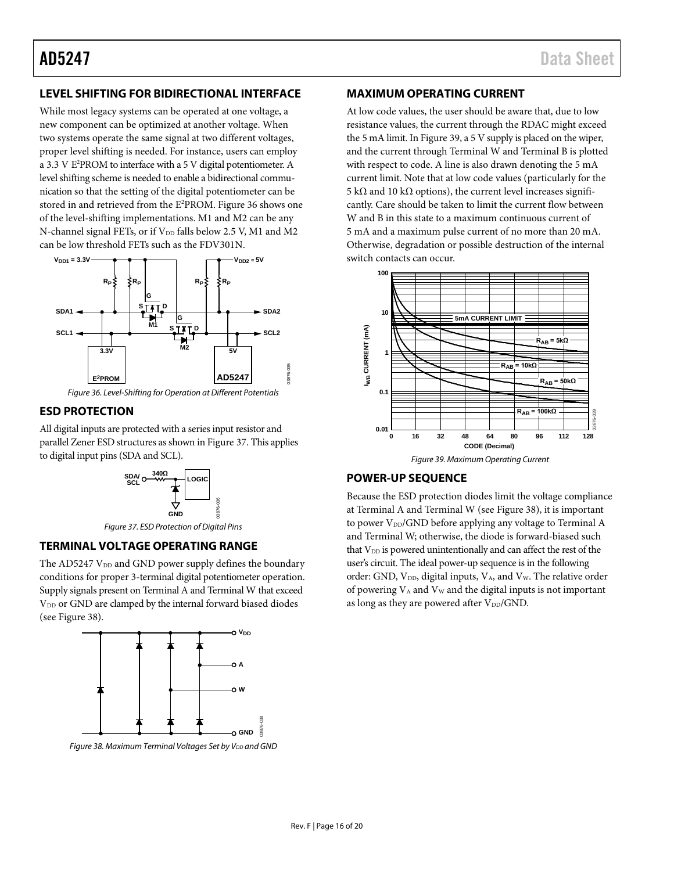## <span id="page-15-0"></span>**LEVEL SHIFTING FOR BIDIRECTIONAL INTERFACE**

While most legacy systems can be operated at one voltage, a new component can be optimized at another voltage. When two systems operate the same signal at two different voltages, proper level shifting is needed. For instance, users can employ a 3.3 V E<sup>2</sup>PROM to interface with a 5 V digital potentiometer. A level shifting scheme is needed to enable a bidirectional communication so that the setting of the digital potentiometer can be stored in and retrieved from the E<sup>2</sup>PROM. [Figure 36](#page-15-5) shows one of the level-shifting implementations. M1 and M2 can be any N-channel signal FETs, or if  $V_{DD}$  falls below 2.5 V, M1 and M2 can be low threshold FETs such as the FDV301N.





03876-035

## <span id="page-15-5"></span><span id="page-15-1"></span>**ESD PROTECTION**

All digital inputs are protected with a series input resistor and parallel Zener ESD structures as shown i[n Figure 37.](#page-15-6) This applies to digital input pins (SDA and SCL).



*Figure 37. ESD Protection of Digital Pins*

### <span id="page-15-6"></span><span id="page-15-2"></span>**TERMINAL VOLTAGE OPERATING RANGE**

The AD5247 V<sub>DD</sub> and GND power supply defines the boundary conditions for proper 3-terminal digital potentiometer operation. Supply signals present on Terminal A and Terminal W that exceed V<sub>DD</sub> or GND are clamped by the internal forward biased diodes (see [Figure 38\)](#page-15-7).



<span id="page-15-7"></span>*Figure 38. Maximum Terminal Voltages Set by V<sub>DD</sub> and GND* 

## <span id="page-15-3"></span>**MAXIMUM OPERATING CURRENT**

At low code values, the user should be aware that, due to low resistance values, the current through the RDAC might exceed the 5 mA limit. I[n Figure 39,](#page-15-8) a 5 V supply is placed on the wiper, and the current through Terminal W and Terminal B is plotted with respect to code. A line is also drawn denoting the 5 mA current limit. Note that at low code values (particularly for the 5 kΩ and 10 kΩ options), the current level increases significantly. Care should be taken to limit the current flow between W and B in this state to a maximum continuous current of 5 mA and a maximum pulse current of no more than 20 mA. Otherwise, degradation or possible destruction of the internal switch contacts can occur.



<span id="page-15-8"></span><span id="page-15-4"></span>**POWER-UP SEQUENCE**

Because the ESD protection diodes limit the voltage compliance at Terminal A and Terminal W (se[e Figure 38\)](#page-15-7), it is important to power  $V_{DD}/GND$  before applying any voltage to Terminal A and Terminal W; otherwise, the diode is forward-biased such that V<sub>DD</sub> is powered unintentionally and can affect the rest of the user's circuit. The ideal power-up sequence is in the following order: GND,  $V_{DD}$ , digital inputs,  $V_A$ , and  $V_W$ . The relative order of powering  $V_A$  and  $V_W$  and the digital inputs is not important as long as they are powered after  $V_{DD}/GND$ .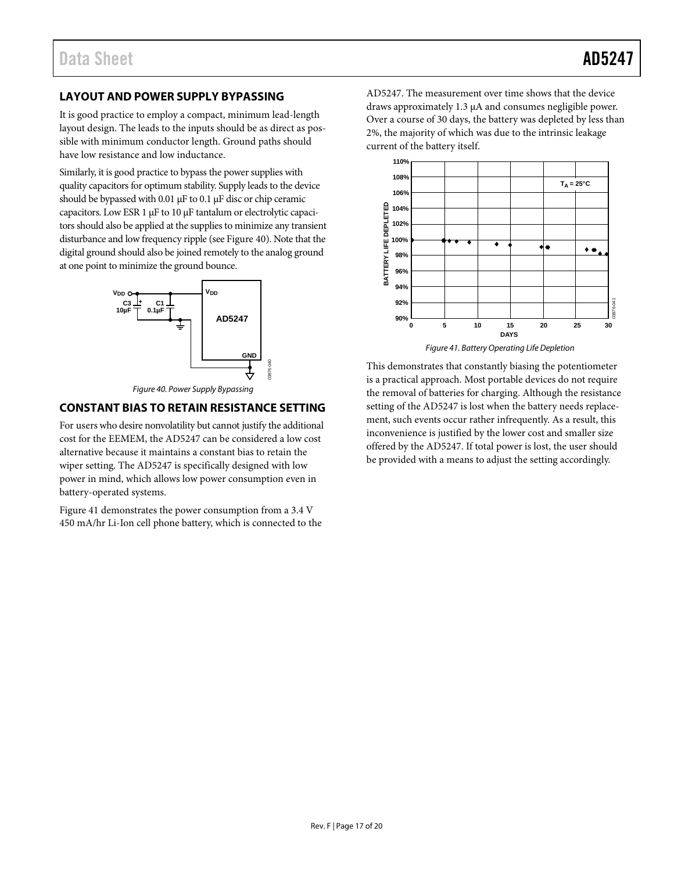## <span id="page-16-0"></span>**LAYOUT AND POWER SUPPLY BYPASSING**

It is good practice to employ a compact, minimum lead-length layout design. The leads to the inputs should be as direct as possible with minimum conductor length. Ground paths should have low resistance and low inductance.

Similarly, it is good practice to bypass the power supplies with quality capacitors for optimum stability. Supply leads to the device should be bypassed with 0.01 µF to 0.1 µF disc or chip ceramic capacitors. Low ESR 1 µF to 10 µF tantalum or electrolytic capacitors should also be applied at the supplies to minimize any transient disturbance and low frequency ripple (se[e Figure 40\)](#page-16-2). Note that the digital ground should also be joined remotely to the analog ground at one point to minimize the ground bounce.



*Figure 40. Power Supply Bypassing*

## <span id="page-16-2"></span><span id="page-16-1"></span>**CONSTANT BIAS TO RETAIN RESISTANCE SETTING**

For users who desire nonvolatility but cannot justify the additional cost for the EEMEM, the AD5247 can be considered a low cost alternative because it maintains a constant bias to retain the wiper setting. The AD5247 is specifically designed with low power in mind, which allows low power consumption even in battery-operated systems.

[Figure 41](#page-16-3) demonstrates the power consumption from a 3.4 V 450 mA/hr Li-Ion cell phone battery, which is connected to the AD5247. The measurement over time shows that the device draws approximately 1.3 µA and consumes negligible power. Over a course of 30 days, the battery was depleted by less than 2%, the majority of which was due to the intrinsic leakage current of the battery itself.



<span id="page-16-3"></span>This demonstrates that constantly biasing the potentiometer is a practical approach. Most portable devices do not require the removal of batteries for charging. Although the resistance setting of the AD5247 is lost when the battery needs replacement, such events occur rather infrequently. As a result, this inconvenience is justified by the lower cost and smaller size offered by the AD5247. If total power is lost, the user should be provided with a means to adjust the setting accordingly.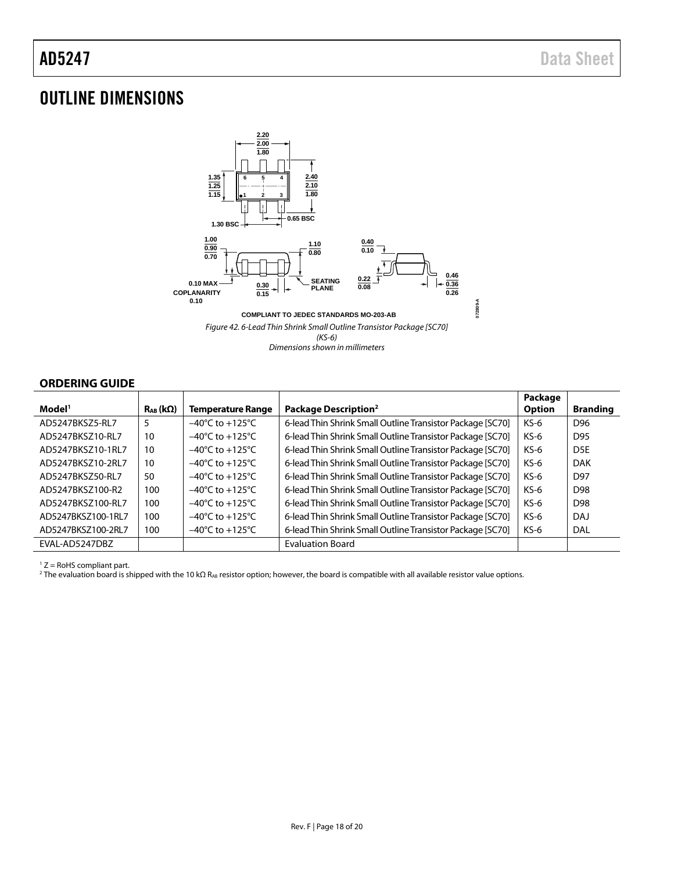# <span id="page-17-0"></span>OUTLINE DIMENSIONS



## <span id="page-17-1"></span>**ORDERING GUIDE**

|                    |                        |                                     |                                                            | Package       |                 |
|--------------------|------------------------|-------------------------------------|------------------------------------------------------------|---------------|-----------------|
| Model <sup>1</sup> | $R_{AB}$ (k $\Omega$ ) | <b>Temperature Range</b>            | Package Description <sup>2</sup>                           | <b>Option</b> | <b>Branding</b> |
| AD5247BKSZ5-RL7    | 5                      | $-40^{\circ}$ C to $+125^{\circ}$ C | 6-lead Thin Shrink Small Outline Transistor Package [SC70] | $KS-6$        | D <sub>96</sub> |
| AD5247BKSZ10-RL7   | 10                     | $-40^{\circ}$ C to $+125^{\circ}$ C | 6-lead Thin Shrink Small Outline Transistor Package [SC70] | $KS-6$        | D95             |
| AD5247BKSZ10-1RL7  | 10                     | $-40^{\circ}$ C to $+125^{\circ}$ C | 6-lead Thin Shrink Small Outline Transistor Package [SC70] | $KS-6$        | D <sub>5E</sub> |
| AD5247BKSZ10-2RL7  | 10                     | $-40^{\circ}$ C to $+125^{\circ}$ C | 6-lead Thin Shrink Small Outline Transistor Package [SC70] | $KS-6$        | <b>DAK</b>      |
| AD5247BKS750-RL7   | 50                     | $-40^{\circ}$ C to $+125^{\circ}$ C | 6-lead Thin Shrink Small Outline Transistor Package [SC70] | $KS-6$        | D97             |
| AD5247BKS7100-R2   | 100                    | $-40^{\circ}$ C to $+125^{\circ}$ C | 6-lead Thin Shrink Small Outline Transistor Package [SC70] | $KS-6$        | D98             |
| AD5247BKSZ100-RL7  | 100                    | $-40^{\circ}$ C to $+125^{\circ}$ C | 6-lead Thin Shrink Small Outline Transistor Package [SC70] | $KS-6$        | D98             |
| AD5247BKSZ100-1RL7 | 100                    | $-40^{\circ}$ C to $+125^{\circ}$ C | 6-lead Thin Shrink Small Outline Transistor Package [SC70] | $KS-6$        | DAJ             |
| AD5247BKSZ100-2RL7 | 100                    | $-40^{\circ}$ C to $+125^{\circ}$ C | 6-lead Thin Shrink Small Outline Transistor Package [SC70] | $KS-6$        | DAL             |
| EVAL-AD5247DBZ     |                        |                                     | <b>Evaluation Board</b>                                    |               |                 |

 $1 Z =$  RoHS compliant part.

 $^2$  The evaluation board is shipped with the 10 kΩ R<sub>AB</sub> resistor option; however, the board is compatible with all available resistor value options.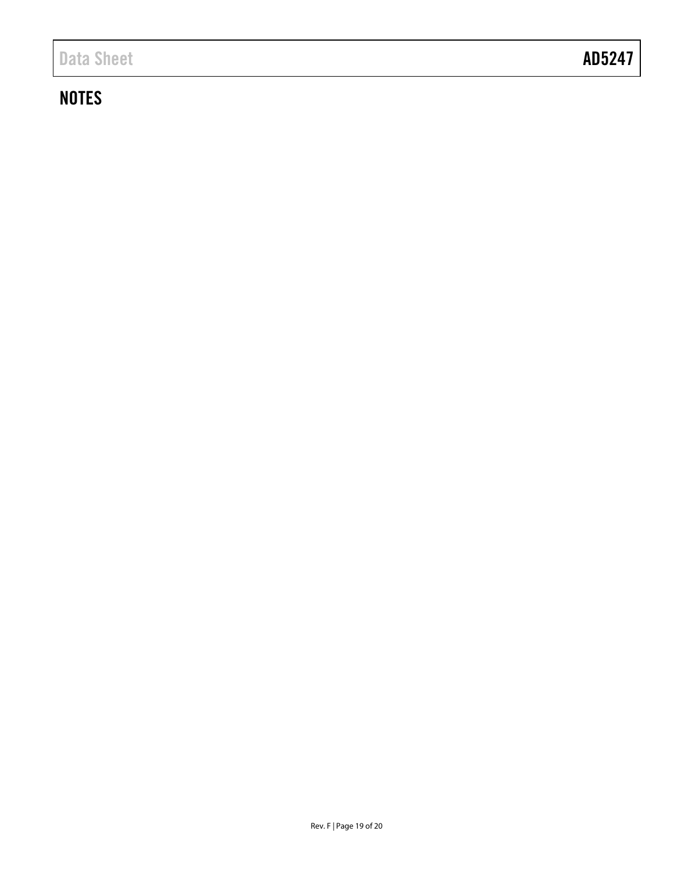# **NOTES**